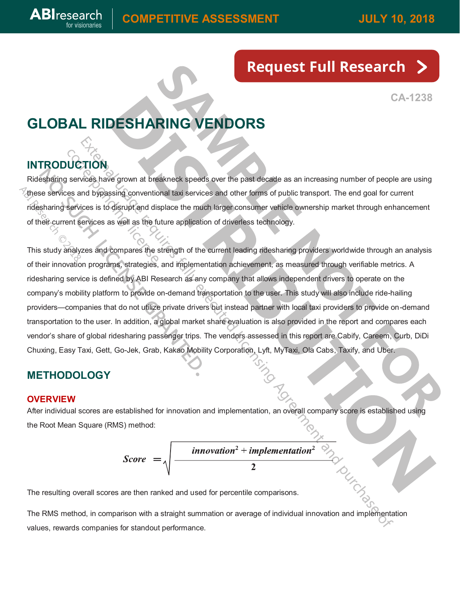# **[Request Full Research](https://share.hsforms.com/141wX6cPKS4q3D17sRMSGwA3zptc)**

**CA-1238**

## **GLOBAL RIDESHARING VENDORS**

## **INTRODUCTION**

**ABI**research

Ridesharing services have grown at breakneck speeds over the past decade as an increasing number of people are using these services and bypassing conventional taxi services and other forms of public transport. The end goal for current ridesharing services is to disrupt and displace the much larger consumer vehicle ownership market through enhancement of their current services as well as the future application of driverless technology.

This study analyzes and compares the strength of the current leading ridesharing providers worldwide through an analysis of their innovation programs, strategies, and implementation achievement, as measured through verifiable metrics. A ridesharing service is defined by ABI Research as any company that allows independent drivers to operate on the company's mobility platform to provide on-demand transportation to the user. This study will also include ride-hailing providers—companies that do not utilize private drivers but instead partner with local taxi providers to provide on-demand transportation to the user. In addition, a global market share evaluation is also provided in the report and compares each vendor's share of global ridesharing passenger trips. The vendors assessed in this report are Cabify, Careem, Curb, DiDi Chuxing, Easy Taxi, Gett, Go-Jek, Grab, Kakao Mobility Corporation, Lyft, MyTaxi, Ola Cabs, Taxify, and Uber.

## **METHODOLOGY**

#### **OVERVIEW**

After individual scores are established for innovation and implementation, an overall company score is established using the Root Mean Square (RMS) method:

$$
Score = \sqrt{\frac{innovation^2 + implementation^2}{2}}
$$

The resulting overall scores are then ranked and used for percentile comparisons.

The RMS method, in comparison with a straight summation or average of individual innovation and implementation values, rewards companies for standout performance.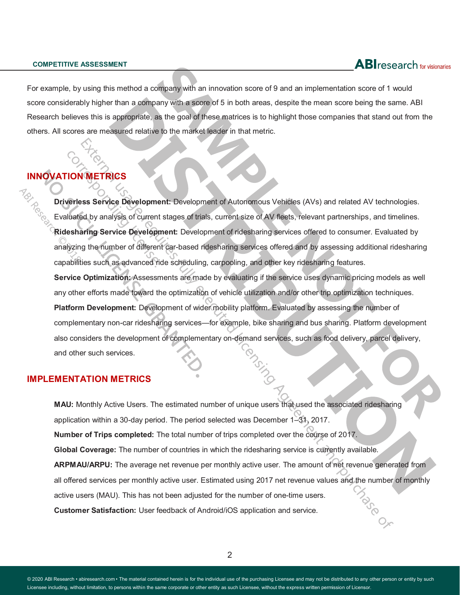For example, by using this method a company with an innovation score of 9 and an implementation score of 1 would score considerably higher than a company with a score of 5 in both areas, despite the mean score being the same. ABI Research believes this is appropriate, as the goal of these matrices is to highlight those companies that stand out from the others. All scores are measured relative to the market leader in that metric.

### **INNOVATION**

**Driverless Service Development:** Development of Autonomous Vehicles (AVs) and related AV technologies. Evaluated by analysis of current stages of trials, current size of AV fleets, relevant partnerships, and timelines. **Ridesharing Service Development:** Development of ridesharing services offered to consumer. Evaluated by analyzing the number of different car-based ridesharing services offered and by assessing additional ridesharing capabilities such as advanced ride scheduling, carpooling, and other key ridesharing features. **Service Optimization:** Assessments are made by evaluating if the service uses dynamic pricing models as well any other efforts made toward the optimization of vehicle utilization and/or other trip optimization techniques. **Platform Development:** Development of wider mobility platform. Evaluated by assessing the number of complementary non-car ridesharing services—for example, bike sharing and bus sharing. Platform development also considers the development of complementary on-demand services, such as food delivery, parcel delivery, and other such services.

#### **IMPLEMENTATION METRICS**

**MAU:** Monthly Active Users. The estimated number of unique users that used the associated ridesharing application within a 30-day period. The period selected was December 1–31, 2017. **Number of Trips completed:** The total number of trips completed over the course of 2017. **Global Coverage:** The number of countries in which the ridesharing service is currently available. **ARPMAU/ARPU:** The average net revenue per monthly active user. The amount of net revenue generated from all offered services per monthly active user. Estimated using 2017 net revenue values and the number of monthly active users (MAU). This has not been adjusted for the number of one-time users. **Customer Satisfaction:** User feedback of Android/iOS application and service.